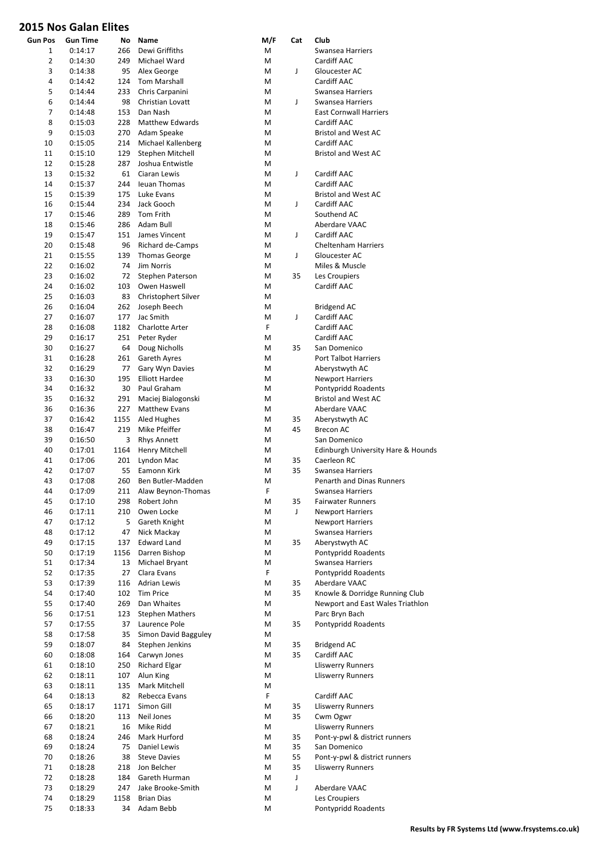| <b>Gun Pos</b> | Gun Time | No   | Name                   | M/F | Cat         | Club                               |
|----------------|----------|------|------------------------|-----|-------------|------------------------------------|
| 1              | 0:14:17  | 266  | Dewi Griffiths         | M   |             | Swansea Harriers                   |
| 2              | 0:14:30  | 249  | Michael Ward           | M   |             | Cardiff AAC                        |
|                |          |      |                        |     |             |                                    |
| 3              | 0:14:38  | 95   | Alex George            | M   | J           | Gloucester AC                      |
| 4              | 0:14:42  | 124  | <b>Tom Marshall</b>    | М   |             | Cardiff AAC                        |
| 5              | 0:14:44  | 233  | Chris Carpanini        | М   |             | Swansea Harriers                   |
| 6              | 0:14:44  | 98   | Christian Lovatt       | М   | J           | Swansea Harriers                   |
| 7              | 0:14:48  | 153  | Dan Nash               | M   |             | <b>East Cornwall Harriers</b>      |
| 8              | 0:15:03  | 228  | <b>Matthew Edwards</b> | M   |             | Cardiff AAC                        |
| 9              | 0:15:03  | 270  | Adam Speake            | М   |             | <b>Bristol and West AC</b>         |
| 10             | 0:15:05  | 214  | Michael Kallenberg     | M   |             | Cardiff AAC                        |
| 11             | 0:15:10  | 129  | Stephen Mitchell       | М   |             | <b>Bristol and West AC</b>         |
|                |          |      |                        |     |             |                                    |
| 12             | 0:15:28  | 287  | Joshua Entwistle       | М   |             |                                    |
| 13             | 0:15:32  | 61   | Ciaran Lewis           | М   | J           | Cardiff AAC                        |
| 14             | 0:15:37  | 244  | <b>Ieuan Thomas</b>    | M   |             | Cardiff AAC                        |
| 15             | 0:15:39  | 175  | Luke Evans             | М   |             | <b>Bristol and West AC</b>         |
| 16             | 0:15:44  | 234  | Jack Gooch             | М   | J           | Cardiff AAC                        |
| 17             | 0:15:46  | 289  | Tom Frith              | M   |             | Southend AC                        |
| 18             | 0:15:46  | 286  | Adam Bull              | М   |             | Aberdare VAAC                      |
| 19             | 0:15:47  | 151  | James Vincent          | М   | J           | Cardiff AAC                        |
| 20             |          | 96   |                        | М   |             | Cheltenham Harriers                |
|                | 0:15:48  |      | Richard de-Camps       |     |             |                                    |
| 21             | 0:15:55  | 139  | <b>Thomas George</b>   | М   | J           | Gloucester AC                      |
| 22             | 0:16:02  | 74   | Jim Norris             | М   |             | Miles & Muscle                     |
| 23             | 0:16:02  | 72   | Stephen Paterson       | М   | 35          | Les Croupiers                      |
| 24             | 0:16:02  | 103  | Owen Haswell           | М   |             | Cardiff AAC                        |
| 25             | 0:16:03  | 83   | Christophert Silver    | М   |             |                                    |
| 26             | 0:16:04  | 262  | Joseph Beech           | М   |             | <b>Bridgend AC</b>                 |
| 27             | 0:16:07  | 177  | Jac Smith              | Μ   | $\mathsf J$ | Cardiff AAC                        |
| 28             | 0:16:08  | 1182 | <b>Charlotte Arter</b> | F   |             | Cardiff AAC                        |
|                |          |      |                        |     |             |                                    |
| 29             | 0:16:17  | 251  | Peter Ryder            | М   |             | Cardiff AAC                        |
| 30             | 0:16:27  | 64   | Doug Nicholls          | М   | 35          | San Domenico                       |
| 31             | 0:16:28  | 261  | Gareth Ayres           | M   |             | <b>Port Talbot Harriers</b>        |
| 32             | 0:16:29  | 77   | Gary Wyn Davies        | М   |             | Aberystwyth AC                     |
| 33             | 0:16:30  | 195  | <b>Elliott Hardee</b>  | М   |             | <b>Newport Harriers</b>            |
| 34             | 0:16:32  | 30   | Paul Graham            | М   |             | Pontypridd Roadents                |
| 35             | 0:16:32  | 291  | Maciej Bialogonski     | М   |             | <b>Bristol and West AC</b>         |
| 36             | 0:16:36  | 227  | <b>Matthew Evans</b>   | М   |             | Aberdare VAAC                      |
| 37             |          | 1155 |                        | М   | 35          |                                    |
|                | 0:16:42  |      | Aled Hughes            |     |             | Aberystwyth AC                     |
| 38             | 0:16:47  | 219  | Mike Pfeiffer          | М   | 45          | <b>Brecon AC</b>                   |
| 39             | 0:16:50  | 3    | <b>Rhys Annett</b>     | М   |             | San Domenico                       |
| 40             | 0:17:01  | 1164 | Henry Mitchell         | М   |             | Edinburgh University Hare & Hounds |
| 41             | 0:17:06  | 201  | Lyndon Mac             | Μ   | 35          | Caerleon RC                        |
| 42             | 0:17:07  | 55   | Eamonn Kirk            | Μ   | 35          | Swansea Harriers                   |
| 43             | 0:17:08  | 260  | Ben Butler-Madden      | М   |             | <b>Penarth and Dinas Runners</b>   |
| 44             | 0:17:09  | 211  | Alaw Beynon-Thomas     | F   |             | Swansea Harriers                   |
| 45             | 0:17:10  | 298  | Robert John            | M   | 35          | <b>Fairwater Runners</b>           |
|                |          |      |                        |     |             |                                    |
| 46             | 0:17:11  | 210  | Owen Locke             | M   | J           | <b>Newport Harriers</b>            |
| 47             | 0:17:12  | 5    | Gareth Knight          | M   |             | <b>Newport Harriers</b>            |
| 48             | 0:17:12  | 47   | Nick Mackay            | M   |             | Swansea Harriers                   |
| 49             | 0:17:15  | 137  | <b>Edward Land</b>     | Μ   | 35          | Aberystwyth AC                     |
| 50             | 0:17:19  | 1156 | Darren Bishop          | M   |             | Pontypridd Roadents                |
| 51             | 0:17:34  | 13   | Michael Bryant         | M   |             | Swansea Harriers                   |
| 52             | 0:17:35  | 27   | Clara Evans            | F   |             | Pontypridd Roadents                |
| 53             | 0:17:39  | 116  | Adrian Lewis           | Μ   | 35          | Aberdare VAAC                      |
| 54             |          |      |                        |     | 35          |                                    |
|                | 0:17:40  | 102  | <b>Tim Price</b>       | Μ   |             | Knowle & Dorridge Running Club     |
| 55             | 0:17:40  | 269  | Dan Whaites            | Μ   |             | Newport and East Wales Triathlon   |
| 56             | 0:17:51  | 123  | <b>Stephen Mathers</b> | Μ   |             | Parc Bryn Bach                     |
| 57             | 0:17:55  | 37   | Laurence Pole          | Μ   | 35          | Pontypridd Roadents                |
| 58             | 0:17:58  | 35   | Simon David Bagguley   | Μ   |             |                                    |
| 59             | 0:18:07  | 84   | Stephen Jenkins        | M   | 35          | <b>Bridgend AC</b>                 |
| 60             | 0:18:08  | 164  | Carwyn Jones           | M   | 35          | Cardiff AAC                        |
| 61             | 0:18:10  | 250  | Richard Elgar          | M   |             | <b>Lliswerry Runners</b>           |
|                |          |      |                        |     |             |                                    |
| 62             | 0:18:11  | 107  | Alun King              | M   |             | Lliswerry Runners                  |
| 63             | 0:18:11  | 135  | Mark Mitchell          | Μ   |             |                                    |
| 64             | 0:18:13  | 82   | Rebecca Evans          | F   |             | Cardiff AAC                        |
| 65             | 0:18:17  | 1171 | Simon Gill             | Μ   | 35          | Lliswerry Runners                  |
| 66             | 0:18:20  | 113  | Neil Jones             | M   | 35          | Cwm Ogwr                           |
| 67             | 0:18:21  | 16   | Mike Ridd              | M   |             | <b>Lliswerry Runners</b>           |
| 68             | 0:18:24  | 246  | Mark Hurford           | М   | 35          | Pont-y-pwl & district runners      |
| 69             | 0:18:24  | 75   | Daniel Lewis           | M   | 35          | San Domenico                       |
|                |          | 38   |                        |     |             |                                    |
| 70             | 0:18:26  |      | <b>Steve Davies</b>    | М   | 55          | Pont-y-pwl & district runners      |
| 71             | 0:18:28  | 218  | Jon Belcher            | М   | 35          | <b>Lliswerry Runners</b>           |
| 72             | 0:18:28  | 184  | Gareth Hurman          | Μ   | J           |                                    |
| 73             | 0:18:29  | 247  | Jake Brooke-Smith      | M   | $\mathsf J$ | Aberdare VAAC                      |
| 74             | 0:18:29  | 1158 | <b>Brian Dias</b>      | Μ   |             | Les Croupiers                      |
| 75             | 0:18:33  | 34   | Adam Bebb              | M   |             | Pontypridd Roadents                |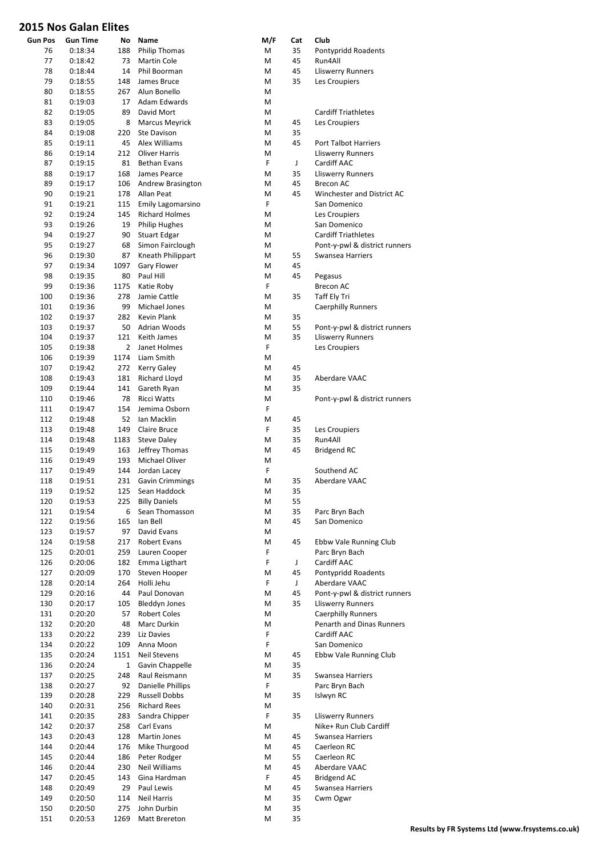| <b>Gun Pos</b> | <b>Gun Time</b>    | No             | Name                            | M/F    | Cat         | Club                                         |
|----------------|--------------------|----------------|---------------------------------|--------|-------------|----------------------------------------------|
| 76             | 0:18:34            | 188            | <b>Philip Thomas</b>            | M      | 35          | Pontypridd Roadents                          |
| 77             | 0:18:42            | 73             | Martin Cole                     | M      | 45          | Run4All                                      |
| 78             | 0:18:44            | 14             | Phil Boorman                    | M      | 45          | <b>Lliswerry Runners</b>                     |
| 79             | 0:18:55            | 148            | James Bruce                     | M      | 35          | Les Croupiers                                |
| 80             | 0:18:55            | 267            | Alun Bonello                    | M      |             |                                              |
| 81             | 0:19:03            | 17             | Adam Edwards                    | M      |             |                                              |
| 82             | 0:19:05            | 89             | David Mort                      | M      |             | <b>Cardiff Triathletes</b>                   |
| 83             | 0:19:05            | 8              | <b>Marcus Meyrick</b>           | M      | 45          | Les Croupiers                                |
| 84             | 0:19:08            | 220            | Ste Davison                     | M      | 35          |                                              |
| 85             | 0:19:11            | 45             | Alex Williams                   | M      | 45          | <b>Port Talbot Harriers</b>                  |
| 86             | 0:19:14            | 212            | <b>Oliver Harris</b>            | M      |             | <b>Lliswerry Runners</b><br>Cardiff AAC      |
| 87             | 0:19:15<br>0:19:17 | 81             | <b>Bethan Evans</b>             | F      | J           |                                              |
| 88<br>89       |                    | 168<br>106     | James Pearce                    | M<br>M | 35          | <b>Lliswerry Runners</b><br><b>Brecon AC</b> |
|                | 0:19:17            |                | Andrew Brasington<br>Allan Peat | M      | 45<br>45    | Winchester and District AC                   |
| 90<br>91       | 0:19:21<br>0:19:21 | 178<br>115     | Emily Lagomarsino               | F      |             | San Domenico                                 |
| 92             | 0:19:24            | 145            | <b>Richard Holmes</b>           | M      |             | Les Croupiers                                |
| 93             | 0:19:26            | 19             | <b>Philip Hughes</b>            | М      |             | San Domenico                                 |
| 94             | 0:19:27            | 90             | <b>Stuart Edgar</b>             | M      |             | <b>Cardiff Triathletes</b>                   |
| 95             | 0:19:27            | 68             | Simon Fairclough                | M      |             | Pont-y-pwl & district runners                |
| 96             | 0:19:30            | 87             | Kneath Philippart               | M      | 55          | <b>Swansea Harriers</b>                      |
| 97             | 0:19:34            | 1097           | Gary Flower                     | M      | 45          |                                              |
| 98             | 0:19:35            | 80             | Paul Hill                       | М      | 45          | Pegasus                                      |
| 99             | 0:19:36            | 1175           | Katie Roby                      | F      |             | <b>Brecon AC</b>                             |
| 100            | 0:19:36            | 278            | Jamie Cattle                    | М      | 35          | Taff Ely Tri                                 |
| 101            | 0:19:36            | 99             | Michael Jones                   | M      |             | <b>Caerphilly Runners</b>                    |
| 102            | 0:19:37            | 282            | Kevin Plank                     | M      | 35          |                                              |
| 103            | 0:19:37            | 50             | Adrian Woods                    | M      | 55          | Pont-y-pwl & district runners                |
| 104            | 0:19:37            | 121            | Keith James                     | M      | 35          | <b>Lliswerry Runners</b>                     |
| 105            | 0:19:38            | $\overline{2}$ | Janet Holmes                    | F      |             | Les Croupiers                                |
| 106            | 0:19:39            | 1174           | Liam Smith                      | M      |             |                                              |
| 107            | 0:19:42            | 272            | <b>Kerry Galey</b>              | M      | 45          |                                              |
| 108            | 0:19:43            | 181            | Richard Lloyd                   | M      | 35          | Aberdare VAAC                                |
| 109            | 0:19:44            | 141            | Gareth Ryan                     | M      | 35          |                                              |
| 110            | 0:19:46            | 78             | <b>Ricci Watts</b>              | M      |             | Pont-y-pwl & district runners                |
| 111            | 0:19:47            | 154            | Jemima Osborn                   | F      |             |                                              |
| 112            | 0:19:48            | 52             | Ian Macklin                     | M      | 45          |                                              |
| 113            | 0:19:48            | 149            | Claire Bruce                    | F      | 35          | Les Croupiers                                |
| 114            | 0:19:48            | 1183           | <b>Steve Daley</b>              | M      | 35          | Run4All                                      |
| 115            | 0:19:49            | 163            | Jeffrey Thomas                  | M      | 45          | <b>Bridgend RC</b>                           |
| 116            | 0:19:49            | 193            | Michael Oliver                  | M      |             |                                              |
| 117            | 0:19:49            | 144            | Jordan Lacey                    | F      |             | Southend AC                                  |
| 118            | 0:19:51            | 231            | <b>Gavin Crimmings</b>          | М      | 35          | Aberdare VAAC                                |
| 119            | 0:19:52            |                | 125 Sean Haddock                | M      | 35          |                                              |
| 120            | 0:19:53            | 225            | <b>Billy Daniels</b>            | Μ      | 55          |                                              |
| 121            | 0:19:54            | 6              | Sean Thomasson                  | M      | 35          | Parc Bryn Bach                               |
| 122            | 0:19:56            | 165            | Ian Bell                        | M      | 45          | San Domenico                                 |
| 123            | 0:19:57            | 97             | David Evans                     | M      |             |                                              |
| 124            | 0:19:58            | 217            | Robert Evans                    | M      | 45          | Ebbw Vale Running Club                       |
| 125            | 0:20:01            | 259            | Lauren Cooper                   | F      |             | Parc Bryn Bach                               |
| 126            | 0:20:06            | 182            | Emma Ligthart                   | F      | $\mathsf J$ | Cardiff AAC                                  |
| 127            | 0:20:09            | 170            | Steven Hooper                   | M      | 45          | Pontypridd Roadents                          |
| 128            | 0:20:14            | 264            | Holli Jehu                      | F      | J           | Aberdare VAAC                                |
| 129            | 0:20:16            | 44             | Paul Donovan                    | M      | 45          | Pont-y-pwl & district runners                |
| 130            | 0:20:17            | 105            | <b>Bleddyn Jones</b>            | M      | 35          | Lliswerry Runners                            |
| 131            | 0:20:20            | 57             | <b>Robert Coles</b>             | M      |             | <b>Caerphilly Runners</b>                    |
| 132            | 0:20:20            | 48             | Marc Durkin                     | M      |             | Penarth and Dinas Runners                    |
| 133            | 0:20:22            | 239            | Liz Davies                      | F      |             | Cardiff AAC                                  |
| 134            | 0:20:22            | 109            | Anna Moon                       | F      |             | San Domenico                                 |
| 135            | 0:20:24            | 1151           | Neil Stevens                    | Μ      | 45          | Ebbw Vale Running Club                       |
| 136            | 0:20:24            | $\mathbf{1}$   | Gavin Chappelle                 | M      | 35          |                                              |
| 137            | 0:20:25            | 248            | Raul Reismann                   | M      | 35          | Swansea Harriers                             |
| 138            | 0:20:27            | 92             | Danielle Phillips               | F      |             | Parc Bryn Bach                               |
| 139            | 0:20:28            | 229            | <b>Russell Dobbs</b>            | Μ      | 35          | Islwyn RC                                    |
| 140<br>141     | 0:20:31            | 256            | <b>Richard Rees</b>             | Μ<br>F | 35          | <b>Lliswerry Runners</b>                     |
|                | 0:20:35            | 283            | Sandra Chipper                  |        |             |                                              |
| 142<br>143     | 0:20:37            | 258<br>128     | Carl Evans<br>Martin Jones      | M<br>M | 45          | Nike+ Run Club Cardiff<br>Swansea Harriers   |
| 144            | 0:20:43<br>0:20:44 |                | Mike Thurgood                   | M      | 45          | Caerleon RC                                  |
| 145            | 0:20:44            | 176<br>186     | Peter Rodger                    | M      | 55          | Caerleon RC                                  |
| 146            | 0:20:44            | 230            | Neil Williams                   | M      | 45          | Aberdare VAAC                                |
| 147            | 0:20:45            | 143            | Gina Hardman                    | F      | 45          | <b>Bridgend AC</b>                           |
| 148            | 0:20:49            | 29             | Paul Lewis                      | M      | 45          | Swansea Harriers                             |
| 149            | 0:20:50            | 114            | <b>Neil Harris</b>              | M      | 35          | Cwm Ogwr                                     |
| 150            | 0:20:50            | 275            | John Durbin                     | M      | 35          |                                              |
| 151            | 0:20:53            | 1269           | Matt Brereton                   | M      | 35          |                                              |
|                |                    |                |                                 |        |             |                                              |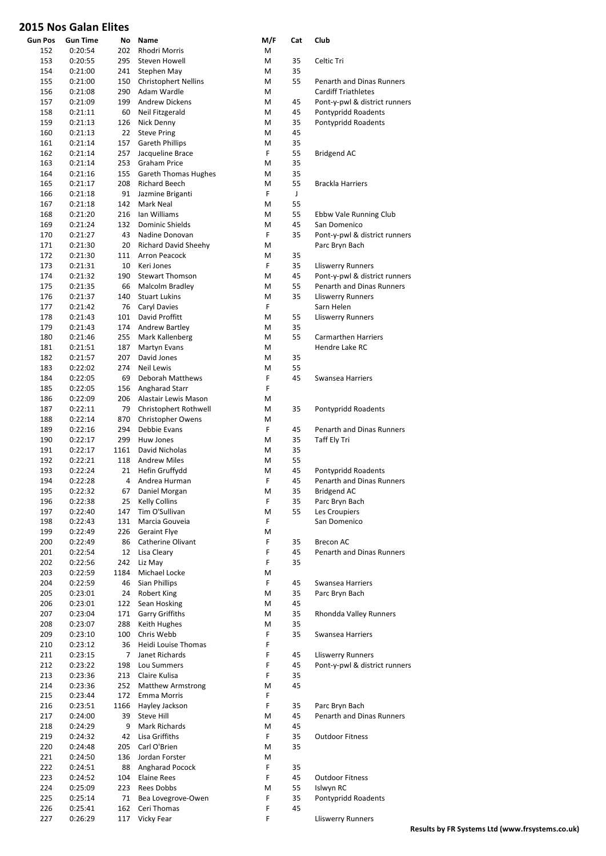| <b>Gun Pos</b><br>152 | <b>Gun Time</b><br>0:20:54 | No<br>202 | Name<br>Rhodri Morris                      | M/F<br>М | Cat | Club                             |
|-----------------------|----------------------------|-----------|--------------------------------------------|----------|-----|----------------------------------|
| 153                   | 0:20:55                    | 295       | Steven Howell                              | М        | 35  | Celtic Tri                       |
|                       |                            | 241       |                                            |          | 35  |                                  |
| 154<br>155            | 0:21:00<br>0:21:00         | 150       | Stephen May<br><b>Christophert Nellins</b> | М<br>М   | 55  | Penarth and Dinas Runners        |
| 156                   | 0:21:08                    | 290       | Adam Wardle                                | М        |     | <b>Cardiff Triathletes</b>       |
| 157                   | 0:21:09                    | 199       | <b>Andrew Dickens</b>                      | М        | 45  | Pont-y-pwl & district runners    |
| 158                   | 0:21:11                    | 60        | Neil Fitzgerald                            | М        | 45  | Pontypridd Roadents              |
| 159                   | 0:21:13                    | 126       | Nick Denny                                 | M        | 35  | Pontypridd Roadents              |
| 160                   | 0:21:13                    | 22        | <b>Steve Pring</b>                         | М        | 45  |                                  |
| 161                   | 0:21:14                    | 157       | <b>Gareth Phillips</b>                     | М        | 35  |                                  |
| 162                   | 0:21:14                    | 257       | Jacqueline Brace                           | F.       | 55  | <b>Bridgend AC</b>               |
| 163                   | 0:21:14                    | 253       | <b>Graham Price</b>                        | М        | 35  |                                  |
| 164                   | 0:21:16                    | 155       | <b>Gareth Thomas Hughes</b>                | М        | 35  |                                  |
| 165                   | 0:21:17                    | 208       | Richard Beech                              | М        | 55  | <b>Brackla Harriers</b>          |
| 166                   | 0:21:18                    | 91        | Jazmine Briganti                           | F        | J   |                                  |
| 167                   | 0:21:18                    | 142       | Mark Neal                                  | М        | 55  |                                  |
| 168                   | 0:21:20                    | 216       | Ian Williams                               | М        | 55  | Ebbw Vale Running Club           |
| 169                   | 0:21:24                    | 132       | Dominic Shields                            | М        | 45  | San Domenico                     |
| 170                   | 0:21:27                    | 43        | Nadine Donovan                             | F        | 35  | Pont-y-pwl & district runners    |
| 171                   | 0:21:30                    | 20        | <b>Richard David Sheehy</b>                | М        |     | Parc Bryn Bach                   |
| 172                   | 0:21:30                    | 111       | <b>Arron Peacock</b>                       | М        | 35  |                                  |
| 173                   | 0:21:31                    | 10        | Keri Jones                                 | F        | 35  | <b>Lliswerry Runners</b>         |
| 174                   | 0:21:32                    | 190       | <b>Stewart Thomson</b>                     | М        | 45  | Pont-y-pwl & district runners    |
| 175                   | 0:21:35                    | 66        | Malcolm Bradley                            | М        | 55  | Penarth and Dinas Runners        |
| 176                   | 0:21:37                    | 140       | <b>Stuart Lukins</b>                       | М        | 35  | <b>Lliswerry Runners</b>         |
| 177                   | 0:21:42                    | 76        | Caryl Davies                               | F        |     | Sarn Helen                       |
| 178                   | 0:21:43                    | 101       | David Proffitt                             | М        | 55  | <b>Lliswerry Runners</b>         |
| 179                   | 0:21:43                    | 174       | <b>Andrew Bartley</b>                      | М        | 35  |                                  |
| 180                   | 0:21:46                    | 255       | Mark Kallenberg                            | М        | 55  | <b>Carmarthen Harriers</b>       |
| 181                   | 0:21:51                    | 187       | Martyn Evans                               | М        |     | Hendre Lake RC                   |
| 182                   | 0:21:57                    | 207       | David Jones                                | М        | 35  |                                  |
| 183                   | 0:22:02                    | 274       | <b>Neil Lewis</b>                          | М        | 55  |                                  |
| 184                   | 0:22:05                    | 69        | Deborah Matthews                           | F        | 45  | Swansea Harriers                 |
| 185                   | 0:22:05                    | 156       | Angharad Starr                             | F        |     |                                  |
| 186                   | 0:22:09                    | 206       | Alastair Lewis Mason                       | М        |     |                                  |
| 187                   | 0:22:11                    | 79        | Christophert Rothwell                      | М        | 35  | Pontypridd Roadents              |
| 188                   | 0:22:14                    | 870       | Christopher Owens                          | М        |     |                                  |
| 189                   | 0:22:16                    | 294       | Debbie Evans                               | F        | 45  | Penarth and Dinas Runners        |
| 190                   | 0:22:17                    | 299       | Huw Jones                                  | М        | 35  | Taff Ely Tri                     |
| 191                   | 0:22:17                    | 1161      | David Nicholas                             | М        | 35  |                                  |
| 192                   | 0:22:21                    | 118       | <b>Andrew Miles</b>                        | М        | 55  |                                  |
| 193                   | 0:22:24                    | 21        | Hefin Gruffydd                             | М        | 45  | Pontypridd Roadents              |
| 194                   | 0:22:28                    | 4         | Andrea Hurman                              | F        | 45  | <b>Penarth and Dinas Runners</b> |
| 195                   | 0:22:32                    | 67        | Daniel Morgan                              | М        | 35  | <b>Bridgend AC</b>               |
| 196                   | 0:22:38                    | 25        | <b>Kelly Collins</b>                       | F        | 35  | Parc Bryn Bach                   |
| 197                   | 0:22:40                    | 147       | Tim O'Sullivan                             | M        | 55  | Les Croupiers                    |
| 198                   | 0:22:43                    | 131       | Marcia Gouveia                             | F        |     | San Domenico                     |
| 199                   | 0:22:49                    | 226       | <b>Geraint Flye</b>                        | M        |     |                                  |
| 200                   | 0:22:49                    | 86        | Catherine Olivant                          | F        | 35  | Brecon AC                        |
| 201                   | 0:22:54                    | 12        | Lisa Cleary                                | F        | 45  | <b>Penarth and Dinas Runners</b> |
| 202                   | 0:22:56                    | 242       | Liz May                                    | F        | 35  |                                  |
| 203                   | 0:22:59                    | 1184      | Michael Locke                              | Μ        |     |                                  |
| 204                   | 0:22:59                    | 46        | Sian Phillips                              | F        | 45  | Swansea Harriers                 |
| 205                   | 0:23:01                    | 24        | Robert King                                | M        | 35  | Parc Bryn Bach                   |
| 206                   | 0:23:01                    | 122       | Sean Hosking                               | М        | 45  |                                  |
| 207                   | 0:23:04                    | 171       | Garry Griffiths                            | M        | 35  | Rhondda Valley Runners           |
| 208                   | 0:23:07                    | 288       | Keith Hughes                               | M        | 35  |                                  |
| 209                   | 0:23:10                    | 100       | Chris Webb                                 | F        | 35  | Swansea Harriers                 |
| 210                   | 0:23:12                    | 36        | Heidi Louise Thomas                        | F        |     |                                  |
| 211                   | 0:23:15                    | 7         | Janet Richards                             | F        | 45  | <b>Lliswerry Runners</b>         |
| 212                   | 0:23:22                    | 198       | Lou Summers                                | F        | 45  | Pont-y-pwl & district runners    |
| 213                   | 0:23:36                    | 213       | Claire Kulisa                              | F        | 35  |                                  |
| 214                   | 0:23:36                    | 252       | <b>Matthew Armstrong</b>                   | M        | 45  |                                  |
| 215                   | 0:23:44                    | 172       | <b>Emma Morris</b>                         | F        |     |                                  |
| 216                   | 0:23:51                    | 1166      | Hayley Jackson                             | F        | 35  | Parc Bryn Bach                   |
| 217                   | 0:24:00                    | 39        | <b>Steve Hill</b>                          | М        | 45  | Penarth and Dinas Runners        |
| 218                   | 0:24:29                    | 9         | Mark Richards                              | M        | 45  |                                  |
| 219                   | 0:24:32                    | 42        | Lisa Griffiths                             | F        | 35  | <b>Outdoor Fitness</b>           |
| 220                   | 0:24:48                    | 205       | Carl O'Brien                               | M        | 35  |                                  |
| 221                   | 0:24:50                    | 136       | Jordan Forster                             | M        |     |                                  |
| 222                   | 0:24:51                    | 88        | Angharad Pocock                            | F        | 35  |                                  |
| 223                   | 0:24:52                    | 104       | <b>Elaine Rees</b>                         | F        | 45  | <b>Outdoor Fitness</b>           |
| 224                   | 0:25:09                    | 223       | Rees Dobbs                                 | M        | 55  | Islwyn RC                        |
| 225                   | 0:25:14                    | 71        | Bea Lovegrove-Owen                         | F        | 35  | Pontypridd Roadents              |
| 226                   | 0:25:41                    | 162       | Ceri Thomas                                | F<br>F.  | 45  |                                  |
| 227                   | 0:26:29                    | 117       | Vicky Fear                                 |          |     | <b>Lliswerry Runners</b>         |